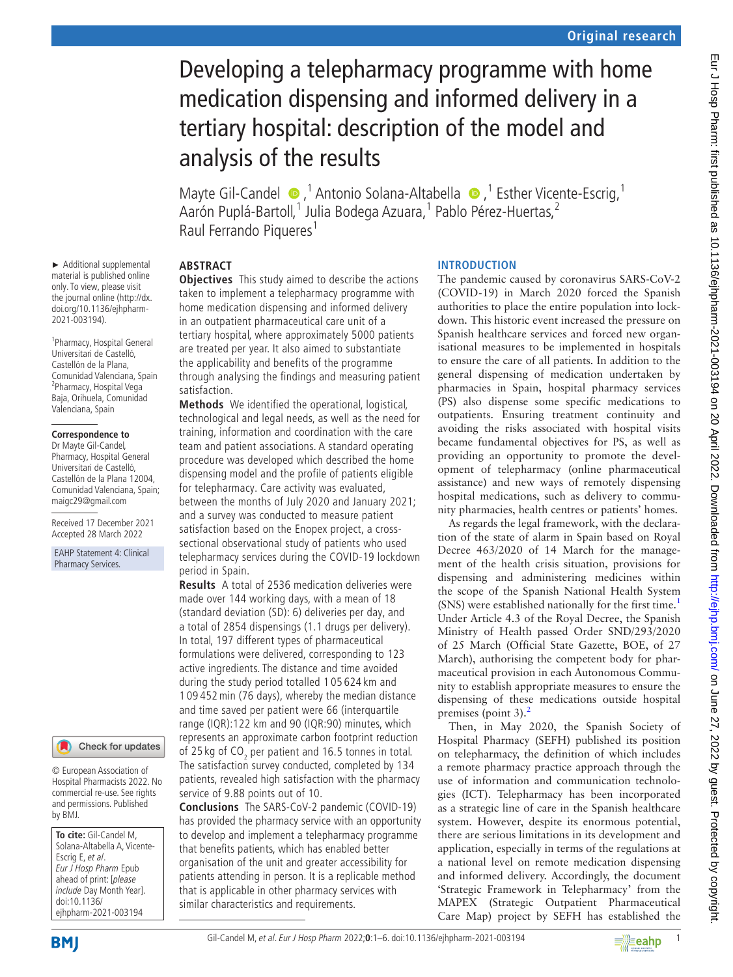# Developing a telepharmacy programme with home medication dispensing and informed delivery in a tertiary hospital: description of the model and analysis of the results

Mayte Gil-Candel  $\bullet$ , <sup>1</sup> Antonio Solana-Altabella  $\bullet$ , <sup>1</sup> Esther Vicente-Escrig, <sup>1</sup> Aarón Puplá-Bartoll,<sup>1</sup> Julia Bodega Azuara,<sup>1</sup> Pablo Pérez-Huertas,<sup>2</sup> Raul Ferrando Piqueres<sup>1</sup>

# **ABSTRACT**

**Objectives** This study aimed to describe the actions taken to implement a telepharmacy programme with home medication dispensing and informed delivery in an outpatient pharmaceutical care unit of a tertiary hospital, where approximately 5000 patients are treated per year. It also aimed to substantiate the applicability and benefits of the programme through analysing the findings and measuring patient satisfaction.

**Methods** We identified the operational, logistical, technological and legal needs, as well as the need for training, information and coordination with the care team and patient associations. A standard operating procedure was developed which described the home dispensing model and the profile of patients eligible for telepharmacy. Care activity was evaluated, between the months of July 2020 and January 2021; and a survey was conducted to measure patient satisfaction based on the Enopex project, a crosssectional observational study of patients who used telepharmacy services during the COVID-19 lockdown period in Spain.

**Results** A total of 2536 medication deliveries were made over 144 working days, with a mean of 18 (standard deviation (SD): 6) deliveries per day, and a total of 2854 dispensings (1.1 drugs per delivery). In total, 197 different types of pharmaceutical formulations were delivered, corresponding to 123 active ingredients. The distance and time avoided during the study period totalled 1 05 624 km and 1 09 452min (76 days), whereby the median distance and time saved per patient were 66 (interquartile range (IQR):122 km and 90 (IQR:90) minutes, which represents an approximate carbon footprint reduction of 25 kg of CO<sub>2</sub> per patient and 16.5 tonnes in total. The satisfaction survey conducted, completed by 134 patients, revealed high satisfaction with the pharmacy service of 9.88 points out of 10.

**Conclusions** The SARS-CoV-2 pandemic (COVID-19) has provided the pharmacy service with an opportunity to develop and implement a telepharmacy programme that benefits patients, which has enabled better organisation of the unit and greater accessibility for patients attending in person. It is a replicable method that is applicable in other pharmacy services with similar characteristics and requirements.

# **INTRODUCTION**

The pandemic caused by coronavirus SARS-CoV-2 (COVID-19) in March 2020 forced the Spanish authorities to place the entire population into lockdown. This historic event increased the pressure on Spanish healthcare services and forced new organisational measures to be implemented in hospitals to ensure the care of all patients. In addition to the general dispensing of medication undertaken by pharmacies in Spain, hospital pharmacy services (PS) also dispense some specific medications to outpatients. Ensuring treatment continuity and avoiding the risks associated with hospital visits became fundamental objectives for PS, as well as providing an opportunity to promote the development of telepharmacy (online pharmaceutical assistance) and new ways of remotely dispensing hospital medications, such as delivery to community pharmacies, health centres or patients' homes.

As regards the legal framework, with the declaration of the state of alarm in Spain based on Royal Decree 463/2020 of 14 March for the management of the health crisis situation, provisions for dispensing and administering medicines within the scope of the Spanish National Health System (SNS) were established nationally for the first time.<sup>[1](#page-5-0)</sup> Under Article 4.3 of the Royal Decree, the Spanish Ministry of Health passed Order SND/293/2020 of 25 March (Official State Gazette, BOE, of 27 March), authorising the competent body for pharmaceutical provision in each Autonomous Community to establish appropriate measures to ensure the dispensing of these medications outside hospital premises (point 3).<sup>[2](#page-5-1)</sup>

Then, in May 2020, the Spanish Society of Hospital Pharmacy (SEFH) published its position on telepharmacy, the definition of which includes a remote pharmacy practice approach through the use of information and communication technologies (ICT). Telepharmacy has been incorporated as a strategic line of care in the Spanish healthcare system. However, despite its enormous potential, there are serious limitations in its development and application, especially in terms of the regulations at a national level on remote medication dispensing and informed delivery. Accordingly, the document 'Strategic Framework in Telepharmacy' from the MAPEX (Strategic Outpatient Pharmaceutical Care Map) project by SEFH has established the

► Additional supplemental material is published online only. To view, please visit the journal online [\(http://dx.](http://dx.doi.org/10.1136/ejhpharm-2021-003194) [doi.org/10.1136/ejhpharm-](http://dx.doi.org/10.1136/ejhpharm-2021-003194)[2021-003194\)](http://dx.doi.org/10.1136/ejhpharm-2021-003194).

1 Pharmacy, Hospital General Universitari de Castelló, Castellón de la Plana, Comunidad Valenciana, Spain 2 Pharmacy, Hospital Vega Baja, Orihuela, Comunidad Valenciana, Spain

#### **Correspondence to**

Dr Mayte Gil-Candel, Pharmacy, Hospital General Universitari de Castelló, Castellón de la Plana 12004, Comunidad Valenciana, Spain; maigc29@gmail.com

Received 17 December 2021 Accepted 28 March 2022

EAHP Statement 4: Clinical Pharmacy Services.

#### Check for updates

© European Association of Hospital Pharmacists 2022. No commercial re-use. See rights and permissions. Published by BMJ.

**To cite:** Gil-Candel M, Solana-Altabella A, Vicente-Escrig E, et al. Eur J Hosp Pharm Epub ahead of print: [please include Day Month Year]. doi:10.1136/ ejhpharm-2021-003194

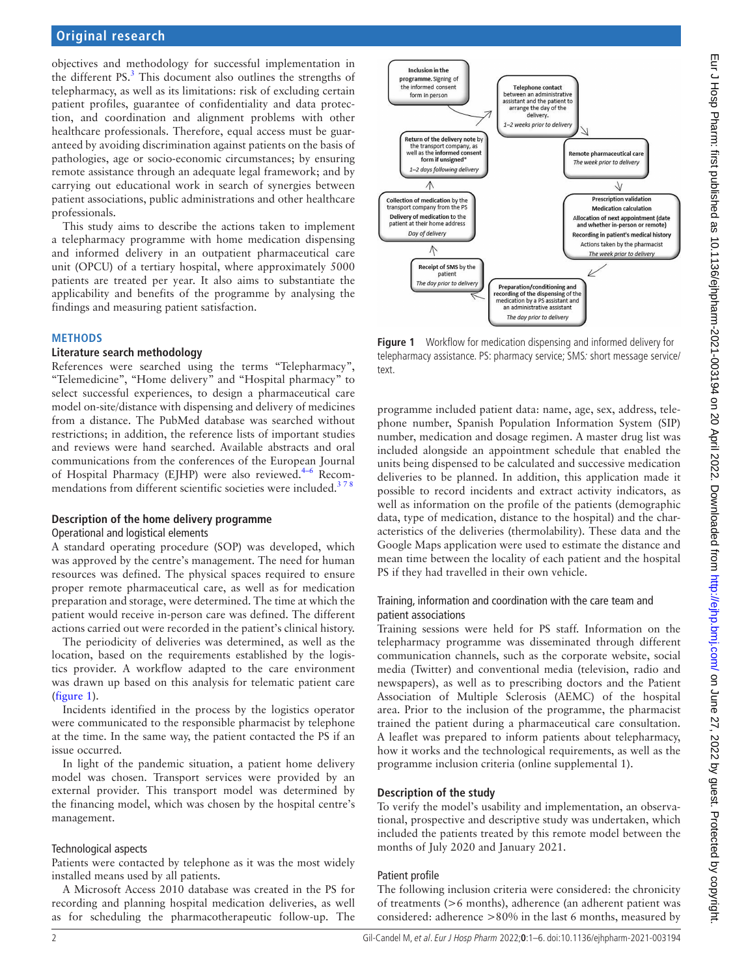## **Original research**

objectives and methodology for successful implementation in the different  $PS.$ <sup>3</sup> This document also outlines the strengths of telepharmacy, as well as its limitations: risk of excluding certain patient profiles, guarantee of confidentiality and data protection, and coordination and alignment problems with other healthcare professionals. Therefore, equal access must be guaranteed by avoiding discrimination against patients on the basis of pathologies, age or socio-economic circumstances; by ensuring remote assistance through an adequate legal framework; and by carrying out educational work in search of synergies between patient associations, public administrations and other healthcare professionals.

This study aims to describe the actions taken to implement a telepharmacy programme with home medication dispensing and informed delivery in an outpatient pharmaceutical care unit (OPCU) of a tertiary hospital, where approximately 5000 patients are treated per year. It also aims to substantiate the applicability and benefits of the programme by analysing the findings and measuring patient satisfaction.

#### **METHODS**

#### **Literature search methodology**

References were searched using the terms "Telepharmacy", "Telemedicine", "Home delivery" and "Hospital pharmacy" to select successful experiences, to design a pharmaceutical care model on-site/distance with dispensing and delivery of medicines from a distance. The PubMed database was searched without restrictions; in addition, the reference lists of important studies and reviews were hand searched. Available abstracts and oral communications from the conferences of the European Journal of Hospital Pharmacy (EJHP) were also reviewed. $4-6$  Recommendations from different scientific societies were included.<sup>378</sup>

#### **Description of the home delivery programme**

#### Operational and logistical elements

A standard operating procedure (SOP) was developed, which was approved by the centre's management. The need for human resources was defined. The physical spaces required to ensure proper remote pharmaceutical care, as well as for medication preparation and storage, were determined. The time at which the patient would receive in-person care was defined. The different actions carried out were recorded in the patient's clinical history.

The periodicity of deliveries was determined, as well as the location, based on the requirements established by the logistics provider. A workflow adapted to the care environment was drawn up based on this analysis for telematic patient care ([figure](#page-1-0) 1).

Incidents identified in the process by the logistics operator were communicated to the responsible pharmacist by telephone at the time. In the same way, the patient contacted the PS if an issue occurred.

In light of the pandemic situation, a patient home delivery model was chosen. Transport services were provided by an external provider. This transport model was determined by the financing model, which was chosen by the hospital centre's management.

#### Technological aspects

Patients were contacted by telephone as it was the most widely installed means used by all patients.

A Microsoft Access 2010 database was created in the PS for recording and planning hospital medication deliveries, as well as for scheduling the pharmacotherapeutic follow-up. The



<span id="page-1-0"></span>**Figure 1** Workflow for medication dispensing and informed delivery for telepharmacy assistance. PS: pharmacy service; SMS: short message service/ text.

programme included patient data: name, age, sex, address, telephone number, Spanish Population Information System (SIP) number, medication and dosage regimen. A master drug list was included alongside an appointment schedule that enabled the units being dispensed to be calculated and successive medication deliveries to be planned. In addition, this application made it possible to record incidents and extract activity indicators, as well as information on the profile of the patients (demographic data, type of medication, distance to the hospital) and the characteristics of the deliveries (thermolability). These data and the Google Maps application were used to estimate the distance and mean time between the locality of each patient and the hospital PS if they had travelled in their own vehicle.

#### Training, information and coordination with the care team and patient associations

Training sessions were held for PS staff. Information on the telepharmacy programme was disseminated through different communication channels, such as the corporate website, social media (Twitter) and conventional media (television, radio and newspapers), as well as to prescribing doctors and the Patient Association of Multiple Sclerosis (AEMC) of the hospital area. Prior to the inclusion of the programme, the pharmacist trained the patient during a pharmaceutical care consultation. A leaflet was prepared to inform patients about telepharmacy, how it works and the technological requirements, as well as the programme inclusion criteria ([online supplemental 1](https://dx.doi.org/10.1136/ejhpharm-2021-003194)).

### **Description of the study**

To verify the model's usability and implementation, an observational, prospective and descriptive study was undertaken, which included the patients treated by this remote model between the months of July 2020 and January 2021.

### Patient profile

The following inclusion criteria were considered: the chronicity of treatments (>6 months), adherence (an adherent patient was considered: adherence >80% in the last 6 months, measured by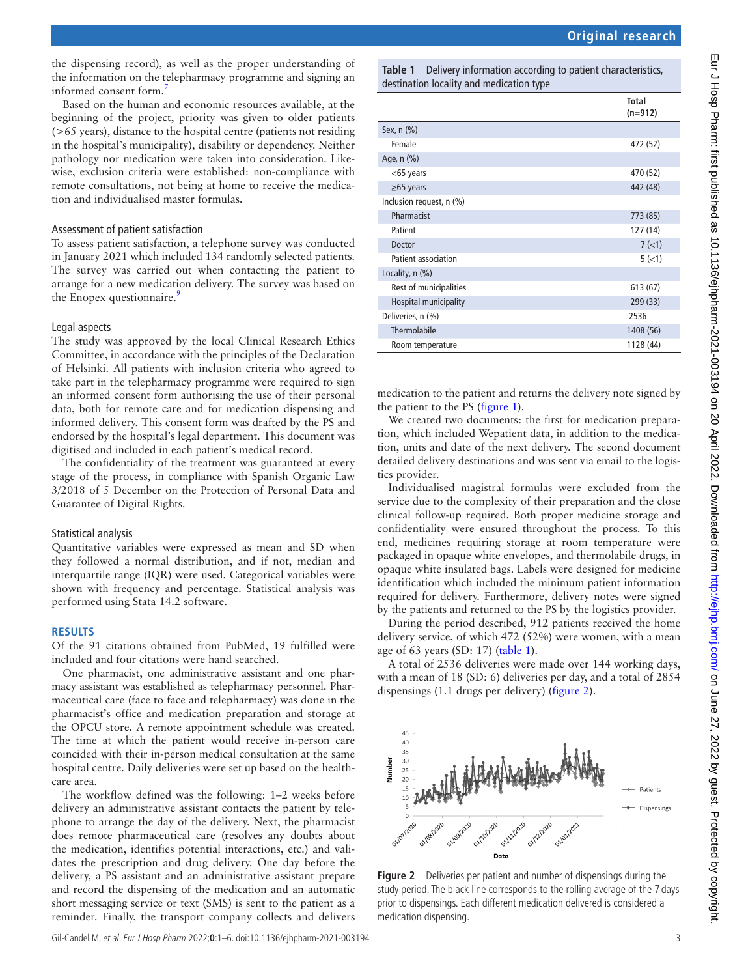Eur J Hosp Pharm: first published as 10.1136/ejhpharm-2021-003194 on 20 April 2022. Downloaded from http://ejhp.bmj.com/ on June 27, 2022 by guest. Protected by copyright Eur J Hosp Pharm: first published as 10.1136/ejhpharm-2021-003194 on 20 April 2022. Downloaded from frup://ejhp.bmj.com/ on June 27, 2022 by guest. Protected by copyright.

the dispensing record), as well as the proper understanding of the information on the telepharmacy programme and signing an informed consent form.

Based on the human and economic resources available, at the beginning of the project, priority was given to older patients (>65 years), distance to the hospital centre (patients not residing in the hospital's municipality), disability or dependency. Neither pathology nor medication were taken into consideration. Likewise, exclusion criteria were established: non-compliance with remote consultations, not being at home to receive the medication and individualised master formulas.

#### Assessment of patient satisfaction

To assess patient satisfaction, a telephone survey was conducted in January 2021 which included 134 randomly selected patients. The survey was carried out when contacting the patient to arrange for a new medication delivery. The survey was based on the Enopex questionnaire.<sup>9</sup>

#### Legal aspects

The study was approved by the local Clinical Research Ethics Committee, in accordance with the principles of the Declaration of Helsinki. All patients with inclusion criteria who agreed to take part in the telepharmacy programme were required to sign an informed consent form authorising the use of their personal data, both for remote care and for medication dispensing and informed delivery. This consent form was drafted by the PS and endorsed by the hospital's legal department. This document was digitised and included in each patient's medical record.

The confidentiality of the treatment was guaranteed at every stage of the process, in compliance with Spanish Organic Law 3/2018 of 5 December on the Protection of Personal Data and Guarantee of Digital Rights.

### Statistical analysis

Quantitative variables were expressed as mean and SD when they followed a normal distribution, and if not, median and interquartile range (IQR) were used. Categorical variables were shown with frequency and percentage. Statistical analysis was performed using Stata 14.2 software.

#### **RESULTS**

Of the 91 citations obtained from PubMed, 19 fulfilled were included and four citations were hand searched.

One pharmacist, one administrative assistant and one pharmacy assistant was established as telepharmacy personnel. Pharmaceutical care (face to face and telepharmacy) was done in the pharmacist's office and medication preparation and storage at the OPCU store. A remote appointment schedule was created. The time at which the patient would receive in-person care coincided with their in-person medical consultation at the same hospital centre. Daily deliveries were set up based on the healthcare area.

The workflow defined was the following: 1–2 weeks before delivery an administrative assistant contacts the patient by telephone to arrange the day of the delivery. Next, the pharmacist does remote pharmaceutical care (resolves any doubts about the medication, identifies potential interactions, etc.) and validates the prescription and drug delivery. One day before the delivery, a PS assistant and an administrative assistant prepare and record the dispensing of the medication and an automatic short messaging service or text (SMS) is sent to the patient as a reminder. Finally, the transport company collects and delivers

<span id="page-2-0"></span>**Table 1** Delivery information according to patient characteristics, destination locality and medication type

|                          | <b>Total</b><br>$(n=912)$ |
|--------------------------|---------------------------|
| Sex, n (%)               |                           |
| Female                   | 472 (52)                  |
| Age, n (%)               |                           |
| $<$ 65 years             | 470 (52)                  |
| $\geq 65$ years          | 442 (48)                  |
| Inclusion request, n (%) |                           |
| Pharmacist               | 773 (85)                  |
| Patient                  | 127 (14)                  |
| Doctor                   | 7(1)                      |
| Patient association      | 5(<1)                     |
| Locality, $n$ $(\%)$     |                           |
| Rest of municipalities   | 613 (67)                  |
| Hospital municipality    | 299 (33)                  |
| Deliveries, n (%)        | 2536                      |
| Thermolabile             | 1408 (56)                 |
| Room temperature         | 1128 (44)                 |

medication to the patient and returns the delivery note signed by the patient to the PS ([figure](#page-1-0) 1).

We created two documents: the first for medication preparation, which included Wepatient data, in addition to the medication, units and date of the next delivery. The second document detailed delivery destinations and was sent via email to the logistics provider.

Individualised magistral formulas were excluded from the service due to the complexity of their preparation and the close clinical follow-up required. Both proper medicine storage and confidentiality were ensured throughout the process. To this end, medicines requiring storage at room temperature were packaged in opaque white envelopes, and thermolabile drugs, in opaque white insulated bags. Labels were designed for medicine identification which included the minimum patient information required for delivery. Furthermore, delivery notes were signed by the patients and returned to the PS by the logistics provider.

During the period described, 912 patients received the home delivery service, of which 472 (52%) were women, with a mean age of 63 years (SD: 17) ([table](#page-2-0) 1).

A total of 2536 deliveries were made over 144 working days, with a mean of 18 (SD: 6) deliveries per day, and a total of 2854 dispensings (1.1 drugs per delivery) ([figure](#page-2-1) 2).



<span id="page-2-1"></span>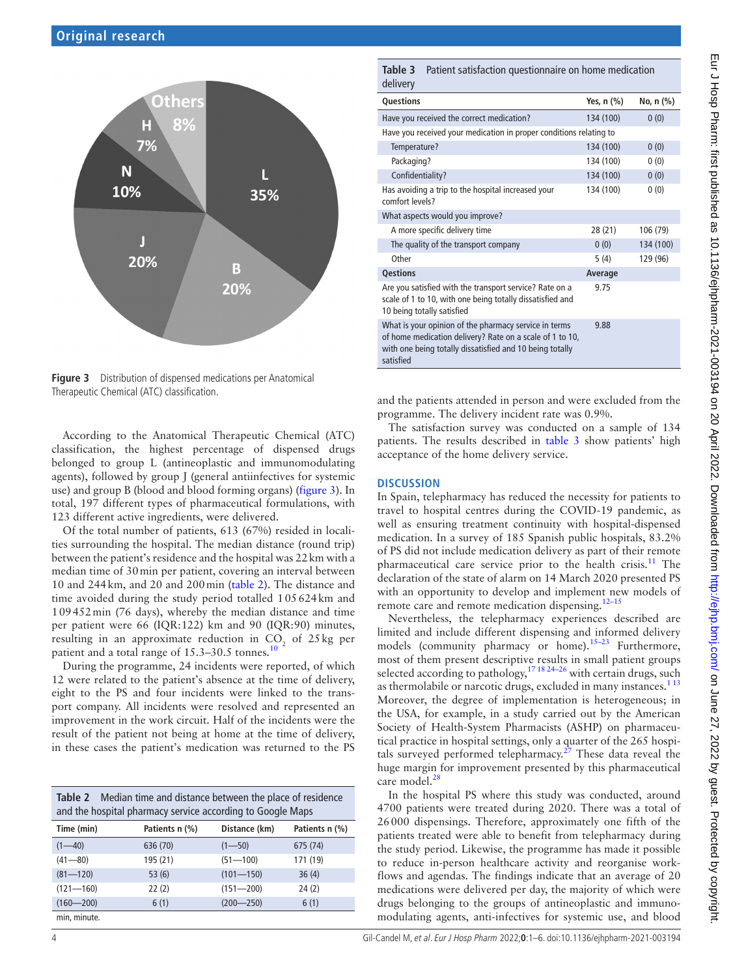

<span id="page-3-0"></span>**Figure 3** Distribution of dispensed medications per Anatomical Therapeutic Chemical (ATC) classification.

According to the Anatomical Therapeutic Chemical (ATC) classification, the highest percentage of dispensed drugs belonged to group L (antineoplastic and immunomodulating agents), followed by group J (general antiinfectives for systemic use) and group B (blood and blood forming organs) [\(figure](#page-3-0) 3). In total, 197 different types of pharmaceutical formulations, with 123 different active ingredients, were delivered.

Of the total number of patients, 613 (67%) resided in localities surrounding the hospital. The median distance (round trip) between the patient's residence and the hospital was 22km with a median time of 30min per patient, covering an interval between 10 and 244km, and 20 and 200min [\(table](#page-3-1) 2). The distance and time avoided during the study period totalled 105624km and 109452min (76 days), whereby the median distance and time per patient were 66 (IQR:122) km and 90 (IQR:90) minutes, resulting in an approximate reduction in  $CO<sub>2</sub>$  of 25 kg per patient and a total range of  $15.3-30.5$  tonnes.<sup>[10](#page-5-6)</sup>

During the programme, 24 incidents were reported, of which 12 were related to the patient's absence at the time of delivery, eight to the PS and four incidents were linked to the transport company. All incidents were resolved and represented an improvement in the work circuit. Half of the incidents were the result of the patient not being at home at the time of delivery, in these cases the patient's medication was returned to the PS

<span id="page-3-1"></span>

| <b>Table 2</b> Median time and distance between the place of residence<br>and the hospital pharmacy service according to Google Maps |                |               |                |  |  |
|--------------------------------------------------------------------------------------------------------------------------------------|----------------|---------------|----------------|--|--|
| Time (min)                                                                                                                           | Patients n (%) | Distance (km) | Patients n (%) |  |  |
| $(1 - 40)$                                                                                                                           | 636 (70)       | $(1 - 50)$    | 675 (74)       |  |  |
| $(41 - 80)$                                                                                                                          | 195 (21)       | $(51 - 100)$  | 171 (19)       |  |  |
| $(81 - 120)$                                                                                                                         | 53(6)          | $(101 - 150)$ | 36(4)          |  |  |
| $(121 - 160)$                                                                                                                        | 22(2)          | $(151 - 200)$ | 24(2)          |  |  |
| $(160 - 200)$                                                                                                                        | 6(1)           | $(200 - 250)$ | 6(1)           |  |  |
| min, minute.                                                                                                                         |                |               |                |  |  |

<span id="page-3-2"></span>**Table 3** Patient satisfaction questionnaire on home medication delivery

| <b>UCIIVEIV</b>                                                                                                                                                                            |            |           |  |  |
|--------------------------------------------------------------------------------------------------------------------------------------------------------------------------------------------|------------|-----------|--|--|
| Questions                                                                                                                                                                                  | Yes, n (%) | No, n (%) |  |  |
| Have you received the correct medication?                                                                                                                                                  | 134 (100)  | 0(0)      |  |  |
| Have you received your medication in proper conditions relating to                                                                                                                         |            |           |  |  |
| Temperature?                                                                                                                                                                               | 134 (100)  | 0(0)      |  |  |
| Packaging?                                                                                                                                                                                 | 134 (100)  | 0(0)      |  |  |
| Confidentiality?                                                                                                                                                                           | 134 (100)  | 0(0)      |  |  |
| Has avoiding a trip to the hospital increased your<br>comfort levels?                                                                                                                      | 134 (100)  | 0(0)      |  |  |
| What aspects would you improve?                                                                                                                                                            |            |           |  |  |
| A more specific delivery time                                                                                                                                                              | 28 (21)    | 106 (79)  |  |  |
| The quality of the transport company                                                                                                                                                       | 0(0)       | 134 (100) |  |  |
| Other                                                                                                                                                                                      | 5(4)       | 129 (96)  |  |  |
| <b>Qestions</b>                                                                                                                                                                            | Average    |           |  |  |
| Are you satisfied with the transport service? Rate on a<br>scale of 1 to 10, with one being totally dissatisfied and<br>10 being totally satisfied                                         | 9.75       |           |  |  |
| What is your opinion of the pharmacy service in terms<br>of home medication delivery? Rate on a scale of 1 to 10,<br>with one being totally dissatisfied and 10 being totally<br>satisfied | 9.88       |           |  |  |

and the patients attended in person and were excluded from the programme. The delivery incident rate was 0.9%.

The satisfaction survey was conducted on a sample of 134 patients. The results described in [table](#page-3-2) 3 show patients' high acceptance of the home delivery service.

#### **DISCUSSION**

In Spain, telepharmacy has reduced the necessity for patients to travel to hospital centres during the COVID-19 pandemic, as well as ensuring treatment continuity with hospital-dispensed medication. In a survey of 185 Spanish public hospitals, 83.2% of PS did not include medication delivery as part of their remote pharmaceutical care service prior to the health crisis.<sup>[11](#page-5-7)</sup> The declaration of the state of alarm on 14 March 2020 presented PS with an opportunity to develop and implement new models of remote care and remote medication dispensing.<sup>12-15</sup>

Nevertheless, the telepharmacy experiences described are limited and include different dispensing and informed delivery models (community pharmacy or home).<sup>15–23</sup> Furthermore, most of them present descriptive results in small patient groups selected according to pathology,  $171824-26$  with certain drugs, such as thermolabile or narcotic drugs, excluded in many instances.<sup>113</sup> Moreover, the degree of implementation is heterogeneous; in the USA, for example, in a study carried out by the American Society of Health-System Pharmacists (ASHP) on pharmaceutical practice in hospital settings, only a quarter of the 265 hospitals surveyed performed telepharmacy.<sup>27</sup> These data reveal the huge margin for improvement presented by this pharmaceutical care model.<sup>[28](#page-5-12)</sup>

In the hospital PS where this study was conducted, around 4700 patients were treated during 2020. There was a total of 26000 dispensings. Therefore, approximately one fifth of the patients treated were able to benefit from telepharmacy during the study period. Likewise, the programme has made it possible to reduce in-person healthcare activity and reorganise workflows and agendas. The findings indicate that an average of 20 medications were delivered per day, the majority of which were drugs belonging to the groups of antineoplastic and immunomodulating agents, anti-infectives for systemic use, and blood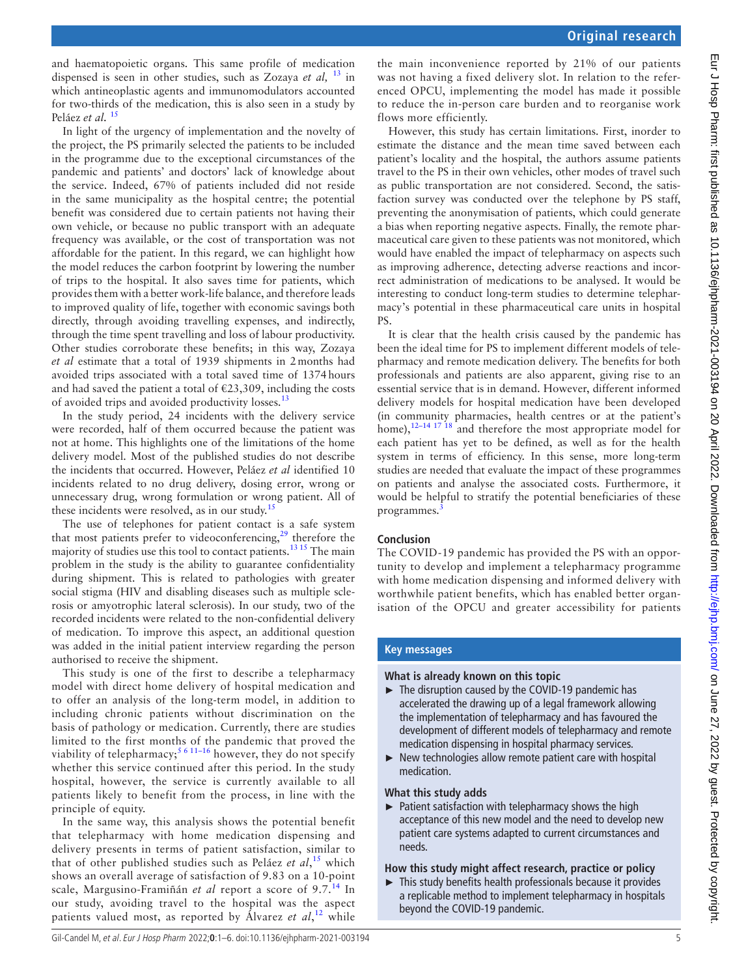and haematopoietic organs. This same profile of medication dispensed is seen in other studies, such as Zozaya *et al,* [13](#page-5-13) in which antineoplastic agents and immunomodulators accounted for two-thirds of the medication, this is also seen in a study by Peláez et al.<sup>[15](#page-5-9)</sup>

In light of the urgency of implementation and the novelty of the project, the PS primarily selected the patients to be included in the programme due to the exceptional circumstances of the pandemic and patients' and doctors' lack of knowledge about the service. Indeed, 67% of patients included did not reside in the same municipality as the hospital centre; the potential benefit was considered due to certain patients not having their own vehicle, or because no public transport with an adequate frequency was available, or the cost of transportation was not affordable for the patient. In this regard, we can highlight how the model reduces the carbon footprint by lowering the number of trips to the hospital. It also saves time for patients, which provides them with a better work-life balance, and therefore leads to improved quality of life, together with economic savings both directly, through avoiding travelling expenses, and indirectly, through the time spent travelling and loss of labour productivity. Other studies corroborate these benefits; in this way, Zozaya *et al* estimate that a total of 1939 shipments in 2months had avoided trips associated with a total saved time of 1374hours and had saved the patient a total of  $\epsilon$ 23,309, including the costs of avoided trips and avoided productivity losses.<sup>[13](#page-5-13)</sup>

In the study period, 24 incidents with the delivery service were recorded, half of them occurred because the patient was not at home. This highlights one of the limitations of the home delivery model. Most of the published studies do not describe the incidents that occurred. However, Peláez *et al* identified 10 incidents related to no drug delivery, dosing error, wrong or unnecessary drug, wrong formulation or wrong patient. All of these incidents were resolved, as in our study. $15$ 

The use of telephones for patient contact is a safe system that most patients prefer to videoconferencing, $29$  therefore the majority of studies use this tool to contact patients.[13 15](#page-5-13) The main problem in the study is the ability to guarantee confidentiality during shipment. This is related to pathologies with greater social stigma (HIV and disabling diseases such as multiple sclerosis or amyotrophic lateral sclerosis). In our study, two of the recorded incidents were related to the non-confidential delivery of medication. To improve this aspect, an additional question was added in the initial patient interview regarding the person authorised to receive the shipment.

This study is one of the first to describe a telepharmacy model with direct home delivery of hospital medication and to offer an analysis of the long-term model, in addition to including chronic patients without discrimination on the basis of pathology or medication. Currently, there are studies limited to the first months of the pandemic that proved the viability of telepharmacy;<sup>[5 6 11–16](#page-5-15)</sup> however, they do not specify whether this service continued after this period. In the study hospital, however, the service is currently available to all patients likely to benefit from the process, in line with the principle of equity.

In the same way, this analysis shows the potential benefit that telepharmacy with home medication dispensing and delivery presents in terms of patient satisfaction, similar to that of other published studies such as Peláez *et al*, [15](#page-5-9) which shows an overall average of satisfaction of 9.83 on a 10-point scale, Margusino-Framiñán *et al* report a score of 9.7.[14](#page-5-16) In our study, avoiding travel to the hospital was the aspect patients valued most, as reported by Álvarez *et al*, [12](#page-5-8) while

the main inconvenience reported by 21% of our patients was not having a fixed delivery slot. In relation to the referenced OPCU, implementing the model has made it possible to reduce the in-person care burden and to reorganise work flows more efficiently.

However, this study has certain limitations. First, inorder to estimate the distance and the mean time saved between each patient's locality and the hospital, the authors assume patients travel to the PS in their own vehicles, other modes of travel such as public transportation are not considered. Second, the satisfaction survey was conducted over the telephone by PS staff, preventing the anonymisation of patients, which could generate a bias when reporting negative aspects. Finally, the remote pharmaceutical care given to these patients was not monitored, which would have enabled the impact of telepharmacy on aspects such as improving adherence, detecting adverse reactions and incorrect administration of medications to be analysed. It would be interesting to conduct long-term studies to determine telepharmacy's potential in these pharmaceutical care units in hospital PS.

It is clear that the health crisis caused by the pandemic has been the ideal time for PS to implement different models of telepharmacy and remote medication delivery. The benefits for both professionals and patients are also apparent, giving rise to an essential service that is in demand. However, different informed delivery models for hospital medication have been developed (in community pharmacies, health centres or at the patient's home), $12-14$  17 18 and therefore the most appropriate model for each patient has yet to be defined, as well as for the health system in terms of efficiency. In this sense, more long-term studies are needed that evaluate the impact of these programmes on patients and analyse the associated costs. Furthermore, it would be helpful to stratify the potential beneficiaries of these programmes.

### **Conclusion**

The COVID-19 pandemic has provided the PS with an opportunity to develop and implement a telepharmacy programme with home medication dispensing and informed delivery with worthwhile patient benefits, which has enabled better organisation of the OPCU and greater accessibility for patients

### **Key messages**

#### **What is already known on this topic**

- ► The disruption caused by the COVID-19 pandemic has accelerated the drawing up of a legal framework allowing the implementation of telepharmacy and has favoured the development of different models of telepharmacy and remote medication dispensing in hospital pharmacy services.
- ► New technologies allow remote patient care with hospital medication.

#### **What this study adds**

► Patient satisfaction with telepharmacy shows the high acceptance of this new model and the need to develop new patient care systems adapted to current circumstances and needs.

### **How this study might affect research, practice or policy**

 $\blacktriangleright$  This study benefits health professionals because it provides a replicable method to implement telepharmacy in hospitals beyond the COVID-19 pandemic.